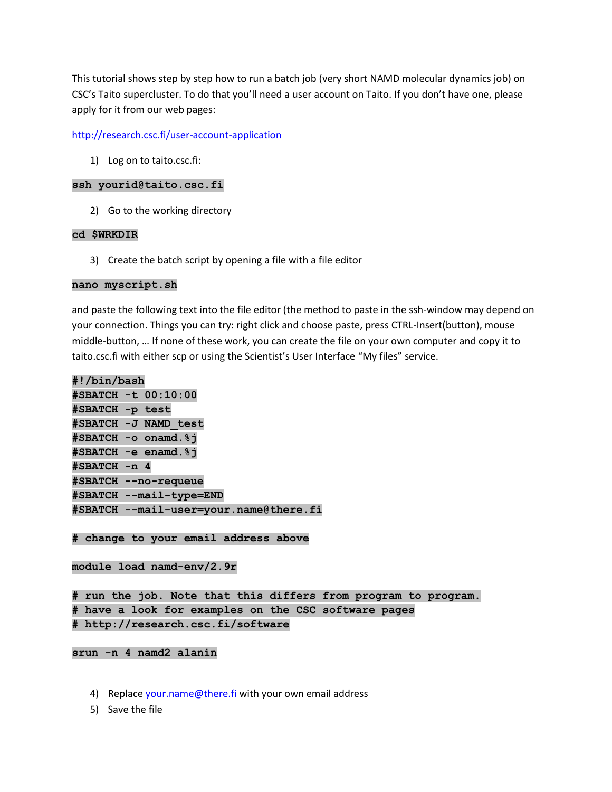This tutorial shows step by step how to run a batch job (very short NAMD molecular dynamics job) on CSC's Taito supercluster. To do that you'll need a user account on Taito. If you don't have one, please apply for it from our web pages:

# <http://research.csc.fi/user-account-application>

1) Log on to taito.csc.fi:

### **ssh yourid@taito.csc.fi**

2) Go to the working directory

### **cd \$WRKDIR**

3) Create the batch script by opening a file with a file editor

#### **nano myscript.sh**

and paste the following text into the file editor (the method to paste in the ssh-window may depend on your connection. Things you can try: right click and choose paste, press CTRL-Insert(button), mouse middle-button, … If none of these work, you can create the file on your own computer and copy it to taito.csc.fi with either scp or using the Scientist's User Interface "My files" service.

```
#!/bin/bash
#SBATCH -t 00:10:00
#SBATCH -p test
#SBATCH -J NAMD_test
#SBATCH -o onamd.%j
#SBATCH -e enamd.%j
#SBATCH -n 4
#SBATCH --no-requeue
#SBATCH --mail-type=END
#SBATCH --mail-user=your.name@there.fi
```
**# change to your email address above**

**module load namd-env/2.9r**

**# run the job. Note that this differs from program to program. # have a look for examples on the CSC software pages # http://research.csc.fi/software**

### **srun -n 4 namd2 alanin**

- 4) Replace [your.name@there.fi](mailto:your.name@there.fi) with your own email address
- 5) Save the file